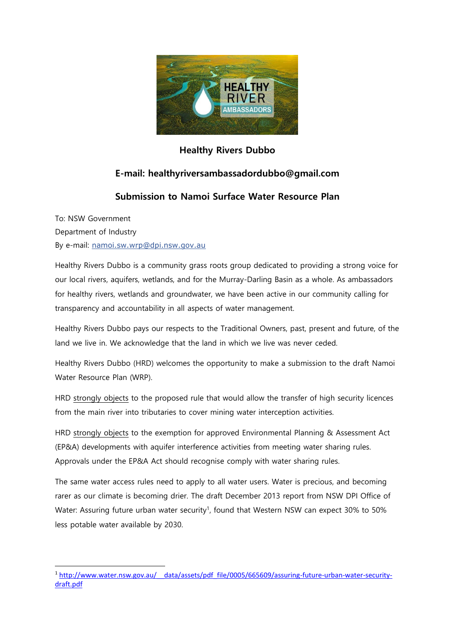

## **Healthy Rivers Dubbo**

## **E-mail: healthyriversambassadordubbo@gmail.com**

## **Submission to Namoi Surface Water Resource Plan**

To: NSW Government Department of Industry By e-mail: [namoi.sw.wrp@dpi.nsw.gov.au](mailto:namoi.sw.wrp@dpi.nsw.gov.au)

Healthy Rivers Dubbo is a community grass roots group dedicated to providing a strong voice for our local rivers, aquifers, wetlands, and for the Murray-Darling Basin as a whole. As ambassadors for healthy rivers, wetlands and groundwater, we have been active in our community calling for transparency and accountability in all aspects of water management.

Healthy Rivers Dubbo pays our respects to the Traditional Owners, past, present and future, of the land we live in. We acknowledge that the land in which we live was never ceded.

Healthy Rivers Dubbo (HRD) welcomes the opportunity to make a submission to the draft Namoi Water Resource Plan (WRP).

HRD strongly objects to the proposed rule that would allow the transfer of high security licences from the main river into tributaries to cover mining water interception activities.

HRD strongly objects to the exemption for approved Environmental Planning & Assessment Act (EP&A) developments with aquifer interference activities from meeting water sharing rules. Approvals under the EP&A Act should recognise comply with water sharing rules.

The same water access rules need to apply to all water users. Water is precious, and becoming rarer as our climate is becoming drier. The draft December 2013 report from NSW DPI Office of Water: Assuring future urban water security<sup>1</sup>, found that Western NSW can expect 30% to 50% less potable water available by 2030.

**<sup>.</sup>** <sup>1</sup> [http://www.water.nsw.gov.au/\\_\\_data/assets/pdf\\_file/0005/665609/assuring-future-urban-water-security](http://www.water.nsw.gov.au/__data/assets/pdf_file/0005/665609/assuring-future-urban-water-security-draft.pdf)[draft.pdf](http://www.water.nsw.gov.au/__data/assets/pdf_file/0005/665609/assuring-future-urban-water-security-draft.pdf)